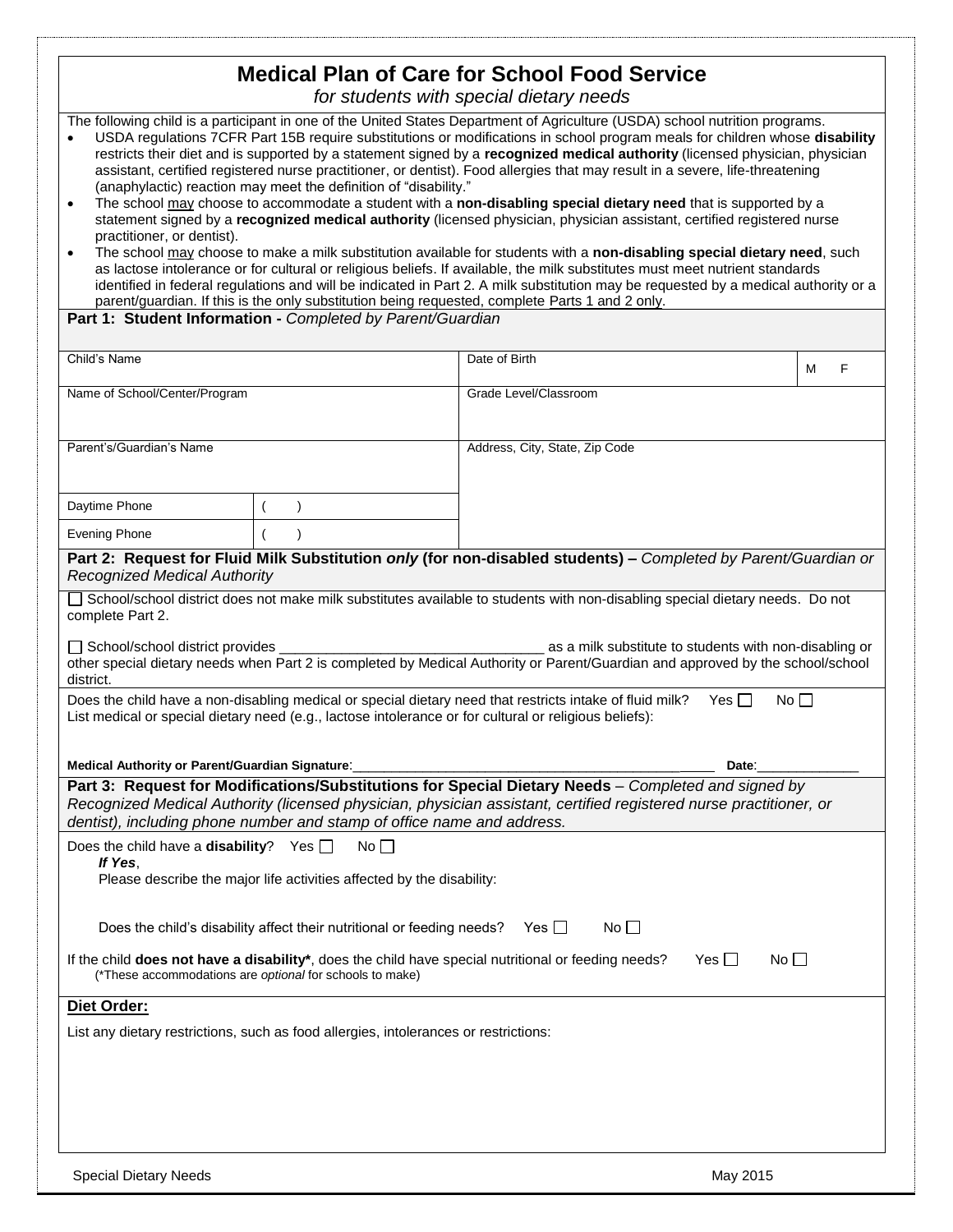# **Medical Plan of Care for School Food Service**

*for students with special dietary needs*

The following child is a participant in one of the United States Department of Agriculture (USDA) school nutrition programs.

- USDA regulations 7CFR Part 15B require substitutions or modifications in school program meals for children whose **disability** restricts their diet and is supported by a statement signed by a **recognized medical authority** (licensed physician, physician assistant, certified registered nurse practitioner, or dentist). Food allergies that may result in a severe, life-threatening (anaphylactic) reaction may meet the definition of "disability."
- The school may choose to accommodate a student with a **non-disabling special dietary need** that is supported by a statement signed by a **recognized medical authority** (licensed physician, physician assistant, certified registered nurse practitioner, or dentist).
- The school may choose to make a milk substitution available for students with a **non-disabling special dietary need**, such as lactose intolerance or for cultural or religious beliefs. If available, the milk substitutes must meet nutrient standards identified in federal regulations and will be indicated in Part 2. A milk substitution may be requested by a medical authority or a parent/guardian. If this is the only substitution being requested, complete Parts 1 and 2 only.

#### **Part 1: Student Information -** *Completed by Parent/Guardian*

| Child's Name                                                                                                                                                                                                                                                                                        |           | Date of Birth                  | F<br>м |  |
|-----------------------------------------------------------------------------------------------------------------------------------------------------------------------------------------------------------------------------------------------------------------------------------------------------|-----------|--------------------------------|--------|--|
| Name of School/Center/Program                                                                                                                                                                                                                                                                       |           | Grade Level/Classroom          |        |  |
|                                                                                                                                                                                                                                                                                                     |           |                                |        |  |
| Parent's/Guardian's Name                                                                                                                                                                                                                                                                            |           | Address, City, State, Zip Code |        |  |
|                                                                                                                                                                                                                                                                                                     |           |                                |        |  |
| Daytime Phone                                                                                                                                                                                                                                                                                       | $\lambda$ |                                |        |  |
| <b>Evening Phone</b>                                                                                                                                                                                                                                                                                |           |                                |        |  |
| Part 2: Request for Fluid Milk Substitution only (for non-disabled students) - Completed by Parent/Guardian or<br><b>Recognized Medical Authority</b>                                                                                                                                               |           |                                |        |  |
| School/school district does not make milk substitutes available to students with non-disabling special dietary needs. Do not<br>complete Part 2.                                                                                                                                                    |           |                                |        |  |
| as a milk substitute to students with non-disabling or<br>other special dietary needs when Part 2 is completed by Medical Authority or Parent/Guardian and approved by the school/school<br>district.                                                                                               |           |                                |        |  |
| Does the child have a non-disabling medical or special dietary need that restricts intake of fluid milk?<br>No <sub>1</sub><br>Yes $\Box$<br>List medical or special dietary need (e.g., lactose intolerance or for cultural or religious beliefs):                                                 |           |                                |        |  |
| Medical Authority or Parent/Guardian Signature:                                                                                                                                                                                                                                                     |           | Date:                          |        |  |
| Part 3: Request for Modifications/Substitutions for Special Dietary Needs - Completed and signed by<br>Recognized Medical Authority (licensed physician, physician assistant, certified registered nurse practitioner, or<br>dentist), including phone number and stamp of office name and address. |           |                                |        |  |
| Does the child have a <b>disability</b> ? Yes $\Box$<br>No<br>If Yes,<br>Please describe the major life activities affected by the disability:                                                                                                                                                      |           |                                |        |  |
| No <sub>1</sub><br>Does the child's disability affect their nutritional or feeding needs? Yes $\Box$                                                                                                                                                                                                |           |                                |        |  |
| If the child does not have a disability*, does the child have special nutritional or feeding needs?<br>Yes $\Box$<br>$No \Box(*These accommodations are optional for schools to make)$                                                                                                              |           |                                |        |  |
| Diet Order:                                                                                                                                                                                                                                                                                         |           |                                |        |  |
| List any dietary restrictions, such as food allergies, intolerances or restrictions:                                                                                                                                                                                                                |           |                                |        |  |
|                                                                                                                                                                                                                                                                                                     |           |                                |        |  |
|                                                                                                                                                                                                                                                                                                     |           |                                |        |  |
|                                                                                                                                                                                                                                                                                                     |           |                                |        |  |
|                                                                                                                                                                                                                                                                                                     |           |                                |        |  |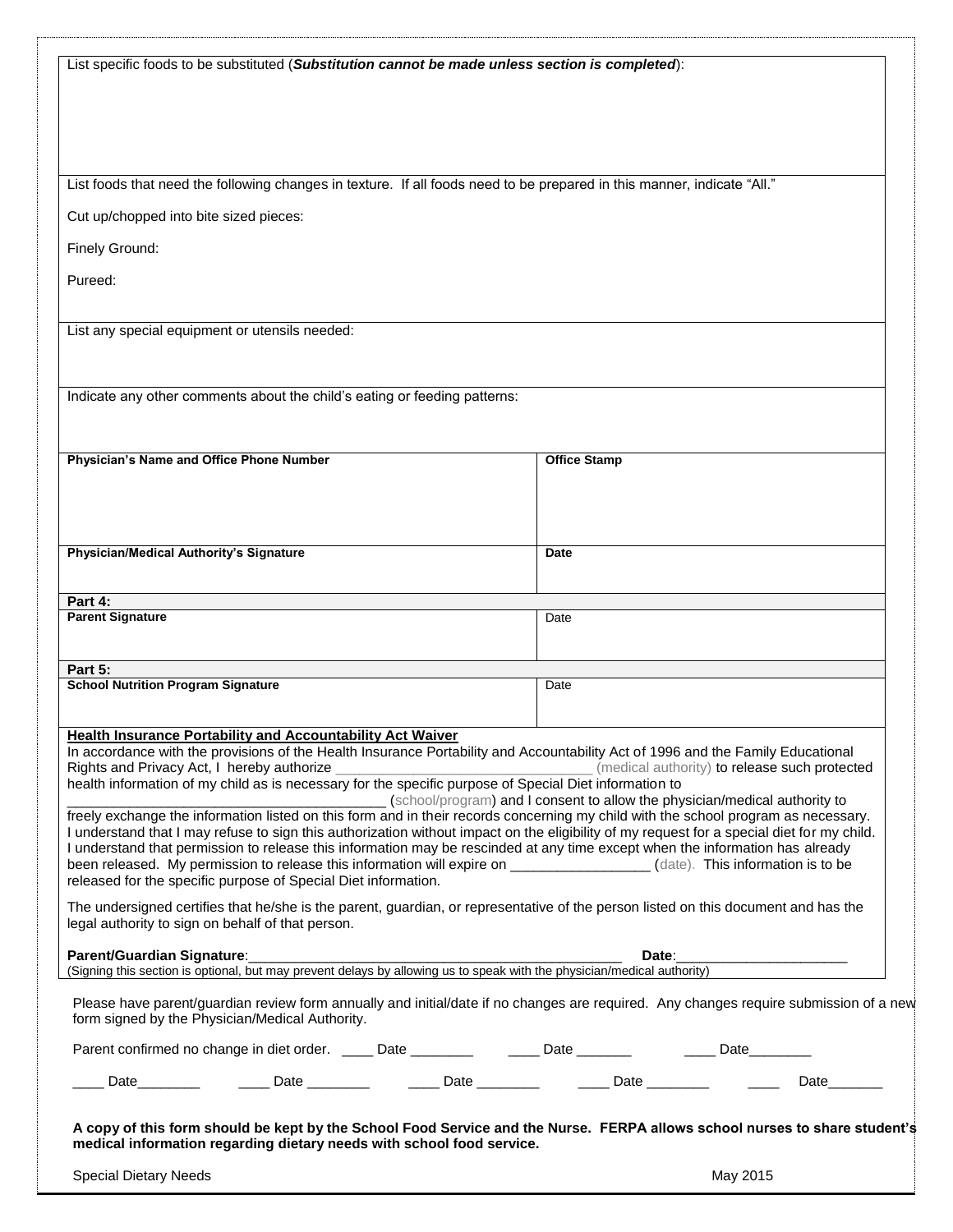List specific foods to be substituted (*Substitution cannot be made unless section is completed*):

List foods that need the following changes in texture. If all foods need to be prepared in this manner, indicate "All."

Cut up/chopped into bite sized pieces:

Finely Ground:

Pureed:

List any special equipment or utensils needed:

Indicate any other comments about the child's eating or feeding patterns:

| Physician's Name and Office Phone Number                                                                                                                                                                                                                                                                                                                                                | <b>Office Stamp</b> |  |  |  |
|-----------------------------------------------------------------------------------------------------------------------------------------------------------------------------------------------------------------------------------------------------------------------------------------------------------------------------------------------------------------------------------------|---------------------|--|--|--|
|                                                                                                                                                                                                                                                                                                                                                                                         |                     |  |  |  |
|                                                                                                                                                                                                                                                                                                                                                                                         |                     |  |  |  |
|                                                                                                                                                                                                                                                                                                                                                                                         |                     |  |  |  |
| <b>Physician/Medical Authority's Signature</b>                                                                                                                                                                                                                                                                                                                                          | Date                |  |  |  |
|                                                                                                                                                                                                                                                                                                                                                                                         |                     |  |  |  |
| Part 4:                                                                                                                                                                                                                                                                                                                                                                                 |                     |  |  |  |
| <b>Parent Signature</b>                                                                                                                                                                                                                                                                                                                                                                 | Date                |  |  |  |
|                                                                                                                                                                                                                                                                                                                                                                                         |                     |  |  |  |
|                                                                                                                                                                                                                                                                                                                                                                                         |                     |  |  |  |
| Part 5:<br><b>School Nutrition Program Signature</b>                                                                                                                                                                                                                                                                                                                                    | Date                |  |  |  |
|                                                                                                                                                                                                                                                                                                                                                                                         |                     |  |  |  |
|                                                                                                                                                                                                                                                                                                                                                                                         |                     |  |  |  |
| <b>Health Insurance Portability and Accountability Act Waiver</b>                                                                                                                                                                                                                                                                                                                       |                     |  |  |  |
| In accordance with the provisions of the Health Insurance Portability and Accountability Act of 1996 and the Family Educational                                                                                                                                                                                                                                                         |                     |  |  |  |
|                                                                                                                                                                                                                                                                                                                                                                                         |                     |  |  |  |
| health information of my child as is necessary for the specific purpose of Special Diet information to<br>(school/program) and I consent to allow the physician/medical authority to                                                                                                                                                                                                    |                     |  |  |  |
| freely exchange the information listed on this form and in their records concerning my child with the school program as necessary.                                                                                                                                                                                                                                                      |                     |  |  |  |
| I understand that I may refuse to sign this authorization without impact on the eligibility of my request for a special diet for my child.                                                                                                                                                                                                                                              |                     |  |  |  |
| I understand that permission to release this information may be rescinded at any time except when the information has already                                                                                                                                                                                                                                                           |                     |  |  |  |
| been released. My permission to release this information will expire on _______________(date). This information is to be                                                                                                                                                                                                                                                                |                     |  |  |  |
| released for the specific purpose of Special Diet information.                                                                                                                                                                                                                                                                                                                          |                     |  |  |  |
| The undersigned certifies that he/she is the parent, guardian, or representative of the person listed on this document and has the                                                                                                                                                                                                                                                      |                     |  |  |  |
| legal authority to sign on behalf of that person.                                                                                                                                                                                                                                                                                                                                       |                     |  |  |  |
|                                                                                                                                                                                                                                                                                                                                                                                         |                     |  |  |  |
| Parent/Guardian Signature:<br>Date: the contract of the contract of the contract of the contract of the contract of the contract of the contract of the contract of the contract of the contract of the contract of the contract of the contract of the cont<br>(Signing this section is optional, but may prevent delays by allowing us to speak with the physician/medical authority) |                     |  |  |  |
|                                                                                                                                                                                                                                                                                                                                                                                         |                     |  |  |  |
| Please have parent/guardian review form annually and initial/date if no changes are required. Any changes require submission of a new                                                                                                                                                                                                                                                   |                     |  |  |  |
| form signed by the Physician/Medical Authority.                                                                                                                                                                                                                                                                                                                                         |                     |  |  |  |
| Parent confirmed no change in diet order. _____ Date ________ ______ Date _______ _____ Date _______                                                                                                                                                                                                                                                                                    |                     |  |  |  |
|                                                                                                                                                                                                                                                                                                                                                                                         |                     |  |  |  |
|                                                                                                                                                                                                                                                                                                                                                                                         |                     |  |  |  |
|                                                                                                                                                                                                                                                                                                                                                                                         |                     |  |  |  |
| A copy of this form should be kept by the School Food Service and the Nurse. FERPA allows school nurses to share student's                                                                                                                                                                                                                                                              |                     |  |  |  |

Special Dietary Needs **May 2015** 

**medical information regarding dietary needs with school food service.**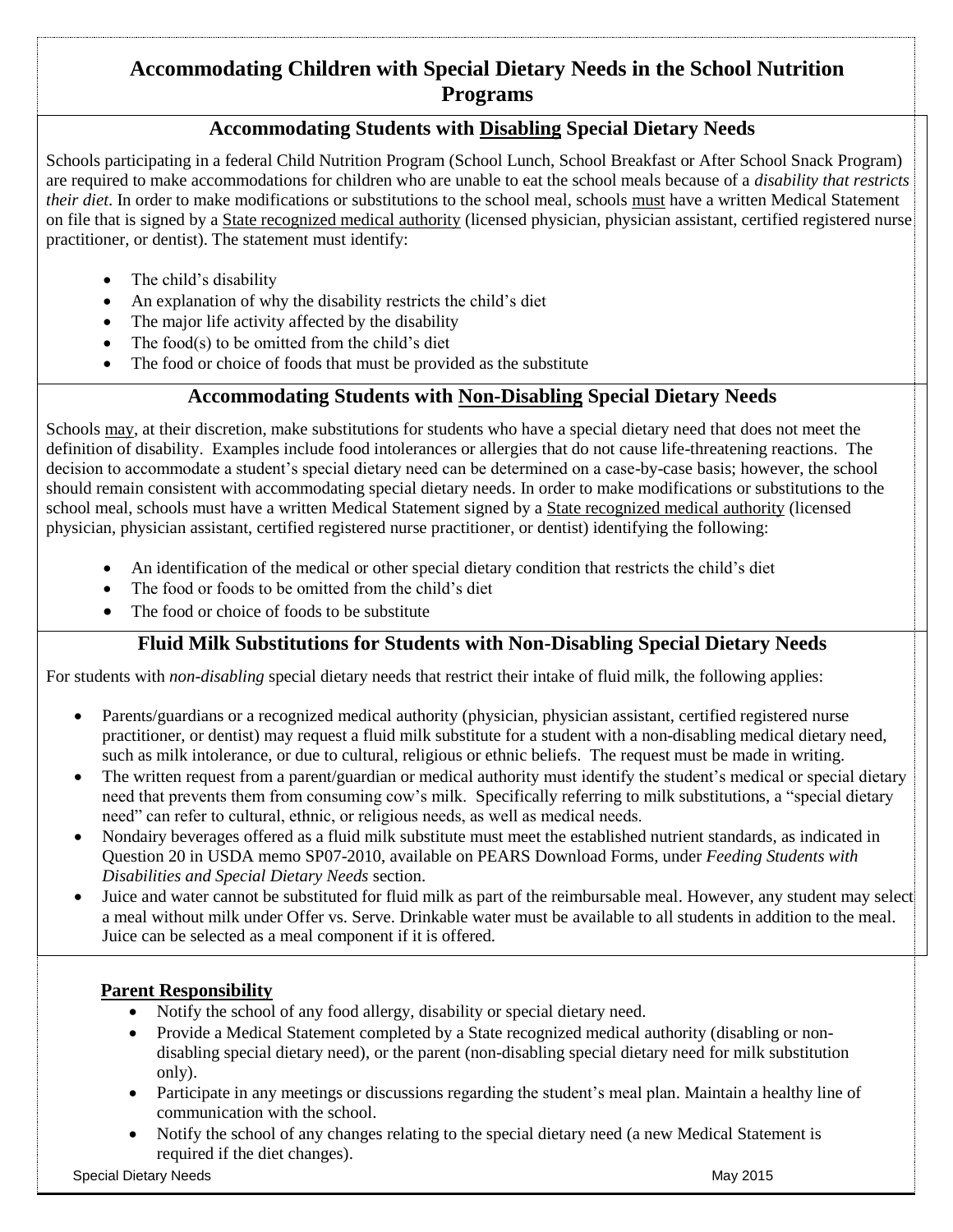# **Accommodating Children with Special Dietary Needs in the School Nutrition Programs**

# **Accommodating Students with Disabling Special Dietary Needs**

Schools participating in a federal Child Nutrition Program (School Lunch, School Breakfast or After School Snack Program) are required to make accommodations for children who are unable to eat the school meals because of a *disability that restricts their diet*. In order to make modifications or substitutions to the school meal, schools must have a written Medical Statement on file that is signed by a State recognized medical authority (licensed physician, physician assistant, certified registered nurse practitioner, or dentist). The statement must identify:

- The child's disability
- An explanation of why the disability restricts the child's diet
- The major life activity affected by the disability
- $\bullet$  The food(s) to be omitted from the child's diet
- The food or choice of foods that must be provided as the substitute

# **Accommodating Students with Non-Disabling Special Dietary Needs**

Schools may, at their discretion, make substitutions for students who have a special dietary need that does not meet the definition of disability. Examples include food intolerances or allergies that do not cause life-threatening reactions. The decision to accommodate a student's special dietary need can be determined on a case-by-case basis; however, the school should remain consistent with accommodating special dietary needs. In order to make modifications or substitutions to the school meal, schools must have a written Medical Statement signed by a State recognized medical authority (licensed physician, physician assistant, certified registered nurse practitioner, or dentist) identifying the following:

- An identification of the medical or other special dietary condition that restricts the child's diet
- The food or foods to be omitted from the child's diet
- The food or choice of foods to be substitute

# **Fluid Milk Substitutions for Students with Non-Disabling Special Dietary Needs**

For students with *non-disabling* special dietary needs that restrict their intake of fluid milk, the following applies:

- Parents/guardians or a recognized medical authority (physician, physician assistant, certified registered nurse practitioner, or dentist) may request a fluid milk substitute for a student with a non-disabling medical dietary need, such as milk intolerance, or due to cultural, religious or ethnic beliefs. The request must be made in writing.
- The written request from a parent/guardian or medical authority must identify the student's medical or special dietary need that prevents them from consuming cow's milk. Specifically referring to milk substitutions, a "special dietary need" can refer to cultural, ethnic, or religious needs, as well as medical needs.
- Nondairy beverages offered as a fluid milk substitute must meet the established nutrient standards, as indicated in Question 20 in USDA memo SP07-2010, available on PEARS Download Forms, under *Feeding Students with Disabilities and Special Dietary Needs* section.
- Juice and water cannot be substituted for fluid milk as part of the reimbursable meal. However, any student may select a meal without milk under Offer vs. Serve. Drinkable water must be available to all students in addition to the meal. Juice can be selected as a meal component if it is offered.

#### **Parent Responsibility**

- Notify the school of any food allergy, disability or special dietary need.
- Provide a Medical Statement completed by a State recognized medical authority (disabling or nondisabling special dietary need), or the parent (non-disabling special dietary need for milk substitution only).
- Participate in any meetings or discussions regarding the student's meal plan. Maintain a healthy line of communication with the school.
- Notify the school of any changes relating to the special dietary need (a new Medical Statement is required if the diet changes).